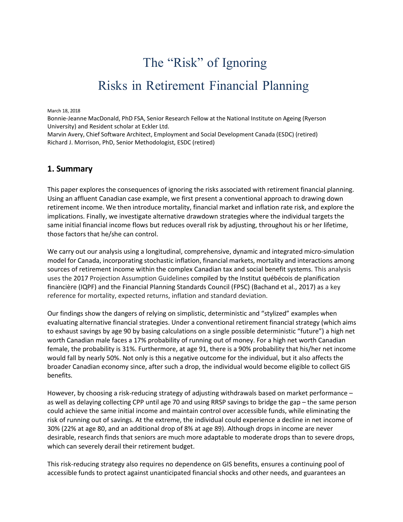# The "Risk" of Ignoring Risks in Retirement Financial Planning

March 18, 2018

Bonnie-Jeanne MacDonald, PhD FSA, Senior Research Fellow at the National Institute on Ageing (Ryerson University) and Resident scholar at Eckler Ltd.

Marvin Avery, Chief Software Architect, Employment and Social Development Canada (ESDC) (retired) Richard J. Morrison, PhD, Senior Methodologist, ESDC (retired)

#### **1. Summary**

This paper explores the consequences of ignoring the risks associated with retirement financial planning. Using an affluent Canadian case example, we first present a conventional approach to drawing down retirement income. We then introduce mortality, financial market and inflation rate risk, and explore the implications. Finally, we investigate alternative drawdown strategies where the individual targets the same initial financial income flows but reduces overall risk by adjusting, throughout his or her lifetime, those factors that he/she can control.

We carry out our analysis using a longitudinal, comprehensive, dynamic and integrated micro-simulation model for Canada, incorporating stochastic inflation, financial markets, mortality and interactions among sources of retirement income within the complex Canadian tax and social benefit systems. This analysis uses the 2017 Projection Assumption Guidelines compiled by the Institut québécois de planification financière (IQPF) and the Financial Planning Standards Council (FPSC) (Bachand et al., 2017) as a key reference for mortality, expected returns, inflation and standard deviation.

Our findings show the dangers of relying on simplistic, deterministic and "stylized" examples when evaluating alternative financial strategies. Under a conventional retirement financial strategy (which aims to exhaust savings by age 90 by basing calculations on a single possible deterministic "future") a high net worth Canadian male faces a 17% probability of running out of money. For a high net worth Canadian female, the probability is 31%. Furthermore, at age 91, there is a 90% probability that his/her net income would fall by nearly 50%. Not only is this a negative outcome for the individual, but it also affects the broader Canadian economy since, after such a drop, the individual would become eligible to collect GIS benefits.

However, by choosing a risk-reducing strategy of adjusting withdrawals based on market performance – as well as delaying collecting CPP until age 70 and using RRSP savings to bridge the gap – the same person could achieve the same initial income and maintain control over accessible funds, while eliminating the risk of running out of savings. At the extreme, the individual could experience a decline in net income of 30% (22% at age 80, and an additional drop of 8% at age 89). Although drops in income are never desirable, research finds that seniors are much more adaptable to moderate drops than to severe drops, which can severely derail their retirement budget.

This risk-reducing strategy also requires no dependence on GIS benefits, ensures a continuing pool of accessible funds to protect against unanticipated financial shocks and other needs, and guarantees an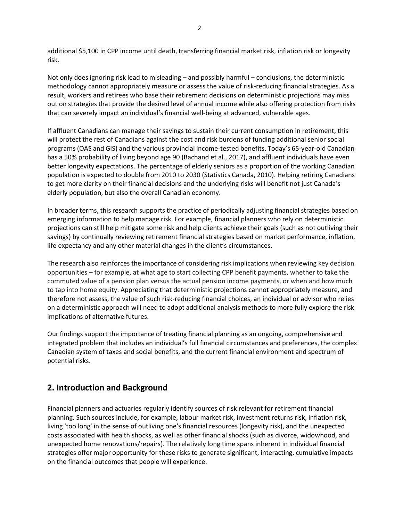additional \$5,100 in CPP income until death, transferring financial market risk, inflation risk or longevity risk.

Not only does ignoring risk lead to misleading – and possibly harmful – conclusions, the deterministic methodology cannot appropriately measure or assess the value of risk-reducing financial strategies. As a result, workers and retirees who base their retirement decisions on deterministic projections may miss out on strategies that provide the desired level of annual income while also offering protection from risks that can severely impact an individual's financial well-being at advanced, vulnerable ages.

If affluent Canadians can manage their savings to sustain their current consumption in retirement, this will protect the rest of Canadians against the cost and risk burdens of funding additional senior social programs (OAS and GIS) and the various provincial income-tested benefits. Today's 65-year-old Canadian has a 50% probability of living beyond age 90 (Bachand et al., 2017), and affluent individuals have even better longevity expectations. The percentage of elderly seniors as a proportion of the working Canadian population is expected to double from 2010 to 2030 (Statistics Canada, 2010). Helping retiring Canadians to get more clarity on their financial decisions and the underlying risks will benefit not just Canada's elderly population, but also the overall Canadian economy.

In broader terms, this research supports the practice of periodically adjusting financial strategies based on emerging information to help manage risk. For example, financial planners who rely on deterministic projections can still help mitigate some risk and help clients achieve their goals (such as not outliving their savings) by continually reviewing retirement financial strategies based on market performance, inflation, life expectancy and any other material changes in the client's circumstances.

The research also reinforces the importance of considering risk implications when reviewing key decision opportunities – for example, at what age to start collecting CPP benefit payments, whether to take the commuted value of a pension plan versus the actual pension income payments, or when and how much to tap into home equity. Appreciating that deterministic projections cannot appropriately measure, and therefore not assess, the value of such risk-reducing financial choices, an individual or advisor who relies on a deterministic approach will need to adopt additional analysis methods to more fully explore the risk implications of alternative futures.

Our findings support the importance of treating financial planning as an ongoing, comprehensive and integrated problem that includes an individual's full financial circumstances and preferences, the complex Canadian system of taxes and social benefits, and the current financial environment and spectrum of potential risks.

# **2. Introduction and Background**

Financial planners and actuaries regularly identify sources of risk relevant for retirement financial planning. Such sources include, for example, labour market risk, investment returns risk, inflation risk, living 'too long' in the sense of outliving one's financial resources (longevity risk), and the unexpected costs associated with health shocks, as well as other financial shocks (such as divorce, widowhood, and unexpected home renovations/repairs). The relatively long time spans inherent in individual financial strategies offer major opportunity for these risks to generate significant, interacting, cumulative impacts on the financial outcomes that people will experience.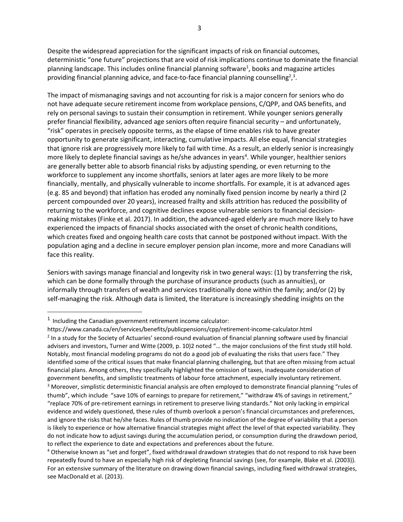Despite the widespread appreciation for the significant impacts of risk on financial outcomes, deterministic "one future" projections that are void of risk implications continue to dominate the financial planning landscape. This includes online financial planning software<sup>1</sup>, books and magazine articles providing financial planning advice, and face-to-face financial planning counselling<sup>2</sup>,<sup>3</sup>.

The impact of mismanaging savings and not accounting for risk is a major concern for seniors who do not have adequate secure retirement income from workplace pensions, C/QPP, and OAS benefits, and rely on personal savings to sustain their consumption in retirement. While younger seniors generally prefer financial flexibility, advanced age seniors often require financial security – and unfortunately, "risk" operates in precisely opposite terms, as the elapse of time enables risk to have greater opportunity to generate significant, interacting, cumulative impacts. All else equal, financial strategies that ignore risk are progressively more likely to fail with time. As a result, an elderly senior is increasingly more likely to deplete financial savings as he/she advances in years<sup>4</sup>. While younger, healthier seniors are generally better able to absorb financial risks by adjusting spending, or even returning to the workforce to supplement any income shortfalls, seniors at later ages are more likely to be more financially, mentally, and physically vulnerable to income shortfalls. For example, it is at advanced ages (e.g. 85 and beyond) that inflation has eroded any nominally fixed pension income by nearly a third (2 percent compounded over 20 years), increased frailty and skills attrition has reduced the possibility of returning to the workforce, and cognitive declines expose vulnerable seniors to financial decisionmaking mistakes (Finke et al. 2017). In addition, the advanced-aged elderly are much more likely to have experienced the impacts of financial shocks associated with the onset of chronic health conditions, which creates fixed and ongoing health care costs that cannot be postponed without impact. With the population aging and a decline in secure employer pension plan income, more and more Canadians will face this reality.

Seniors with savings manage financial and longevity risk in two general ways: (1) by transferring the risk, which can be done formally through the purchase of insurance products (such as annuities), or informally through transfers of wealth and services traditionally done within the family; and/or (2) by self-managing the risk. Although data is limited, the literature is increasingly shedding insights on the

 $1$  Including the Canadian government retirement income calculator:

https:[//www.canada.ca/en/services/benefits/publicpensions/cpp/retirement-income-calculator.html](http://www.canada.ca/en/services/benefits/publicpensions/cpp/retirement-income-calculator.html)

<sup>2</sup> In a study for the Society of Actuaries' second-round evaluation of financial planning software used by financial advisers and investors, Turner and Witte (2009, p. 10)2 noted "… the major conclusions of the first study still hold. Notably, most financial modeling programs do not do a good job of evaluating the risks that users face." They identified some of the critical issues that make financial planning challenging, but that are often missing from actual financial plans. Among others, they specifically highlighted the omission of taxes, inadequate consideration of government benefits, and simplistic treatments of labour force attachment, especially involuntary retirement.

<sup>&</sup>lt;sup>3</sup> Moreover, simplistic deterministic financial analysis are often employed to demonstrate financial planning "rules of thumb", which include "save 10% of earnings to prepare for retirement," "withdraw 4% of savings in retirement," "replace 70% of pre-retirement earnings in retirement to preserve living standards." Not only lacking in empirical evidence and widely questioned, these rules of thumb overlook a person's financial circumstances and preferences, and ignore the risks that he/she faces. Rules of thumb provide no indication of the degree of variability that a person is likely to experience or how alternative financial strategies might affect the level of that expected variability. They do not indicate how to adjust savings during the accumulation period, or consumption during the drawdown period, to reflect the experience to date and expectations and preferences about the future.

<sup>4</sup> Otherwise known as "set and forget", fixed withdrawal drawdown strategies that do not respond to risk have been repeatedly found to have an especially high risk of depleting financial savings (see, for example, Blake et al. (2003)). For an extensive summary of the literature on drawing down financial savings, including fixed withdrawal strategies, see MacDonald et al. (2013).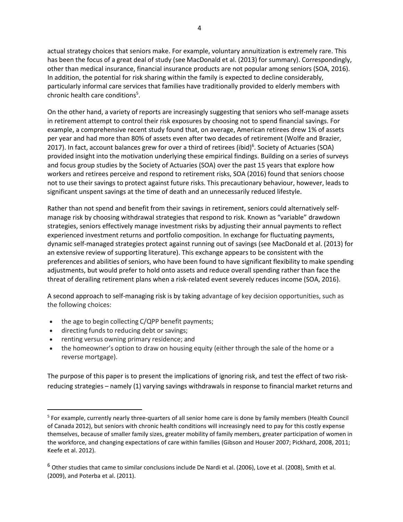actual strategy choices that seniors make. For example, voluntary annuitization is extremely rare. This has been the focus of a great deal of study (see MacDonald et al. (2013) for summary). Correspondingly, other than medical insurance, financial insurance products are not popular among seniors (SOA, 2016). In addition, the potential for risk sharing within the family is expected to decline considerably, particularly informal care services that families have traditionally provided to elderly members with chronic health care conditions<sup>5</sup>.

On the other hand, a variety of reports are increasingly suggesting that seniors who self-manage assets in retirement attempt to control their risk exposures by choosing not to spend financial savings. For example, a comprehensive recent study found that, on average, American retirees drew 1% of assets per year and had more than 80% of assets even after two decades of retirement (Wolfe and Brazier, 2017). In fact, account balances grew for over a third of retirees (ibid)<sup>6</sup>. Society of Actuaries (SOA) provided insight into the motivation underlying these empirical findings. Building on a series of surveys and focus group studies by the Society of Actuaries (SOA) over the past 15 years that explore how workers and retirees perceive and respond to retirement risks, SOA (2016) found that seniors choose not to use their savings to protect against future risks. This precautionary behaviour, however, leads to significant unspent savings at the time of death and an unnecessarily reduced lifestyle.

Rather than not spend and benefit from their savings in retirement, seniors could alternatively selfmanage risk by choosing withdrawal strategies that respond to risk. Known as "variable" drawdown strategies, seniors effectively manage investment risks by adjusting their annual payments to reflect experienced investment returns and portfolio composition. In exchange for fluctuating payments, dynamic self-managed strategies protect against running out of savings (see MacDonald et al. (2013) for an extensive review of supporting literature). This exchange appears to be consistent with the preferences and abilities of seniors, who have been found to have significant flexibility to make spending adjustments, but would prefer to hold onto assets and reduce overall spending rather than face the threat of derailing retirement plans when a risk-related event severely reduces income (SOA, 2016).

A second approach to self-managing risk is by taking advantage of key decision opportunities, such as the following choices:

- the age to begin collecting C/QPP benefit payments;
- directing funds to reducing debt or savings;
- renting versus owning primary residence; and
- the homeowner's option to draw on housing equity (either through the sale of the home or a reverse mortgage).

The purpose of this paper is to present the implications of ignoring risk, and test the effect of two riskreducing strategies – namely (1) varying savings withdrawals in response to financial market returns and

<sup>&</sup>lt;sup>5</sup> For example, currently nearly three-quarters of all senior home care is done by family members (Health Council of Canada 2012), but seniors with chronic health conditions will increasingly need to pay for this costly expense themselves, because of smaller family sizes, greater mobility of family members, greater participation of women in the workforce, and changing expectations of care within families (Gibson and Houser 2007; Pickhard, 2008, 2011; Keefe et al. 2012).

 $6$  Other studies that came to similar conclusions include De Nardi et al. (2006), Love et al. (2008), Smith et al. (2009), and Poterba et al. (2011).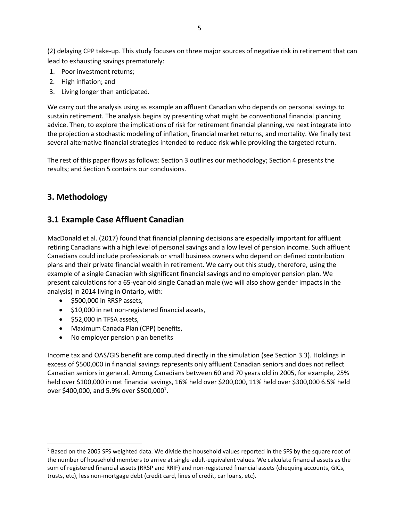(2) delaying CPP take-up. This study focuses on three major sources of negative risk in retirement that can lead to exhausting savings prematurely:

- 1. Poor investment returns;
- 2. High inflation; and
- 3. Living longer than anticipated.

We carry out the analysis using as example an affluent Canadian who depends on personal savings to sustain retirement. The analysis begins by presenting what might be conventional financial planning advice. Then, to explore the implications of risk for retirement financial planning, we next integrate into the projection a stochastic modeling of inflation, financial market returns, and mortality. We finally test several alternative financial strategies intended to reduce risk while providing the targeted return.

The rest of this paper flows as follows: Section 3 outlines our methodology; Section 4 presents the results; and Section 5 contains our conclusions.

## **3. Methodology**

## **3.1 Example Case Affluent Canadian**

MacDonald et al. (2017) found that financial planning decisions are especially important for affluent retiring Canadians with a high level of personal savings and a low level of pension income. Such affluent Canadians could include professionals or small business owners who depend on defined contribution plans and their private financial wealth in retirement. We carry out this study, therefore, using the example of a single Canadian with significant financial savings and no employer pension plan. We present calculations for a 65-year old single Canadian male (we will also show gender impacts in the analysis) in 2014 living in Ontario, with:

- \$500,000 in RRSP assets,
- \$10,000 in net non-registered financial assets,
- \$52,000 in TFSA assets,
- Maximum Canada Plan (CPP) benefits,
- No employer pension plan benefits

Income tax and OAS/GIS benefit are computed directly in the simulation (see Section 3.3). Holdings in excess of \$500,000 in financial savings represents only affluent Canadian seniors and does not reflect Canadian seniors in general. Among Canadians between 60 and 70 years old in 2005, for example, 25% held over \$100,000 in net financial savings, 16% held over \$200,000, 11% held over \$300,000 6.5% held over \$400,000, and 5.9% over \$500,000<sup>7</sup>.

<sup>&</sup>lt;sup>7</sup> Based on the 2005 SFS weighted data. We divide the household values reported in the SFS by the square root of the number of household members to arrive at single-adult-equivalent values. We calculate financial assets as the sum of registered financial assets (RRSP and RRIF) and non-registered financial assets (chequing accounts, GICs, trusts, etc), less non-mortgage debt (credit card, lines of credit, car loans, etc).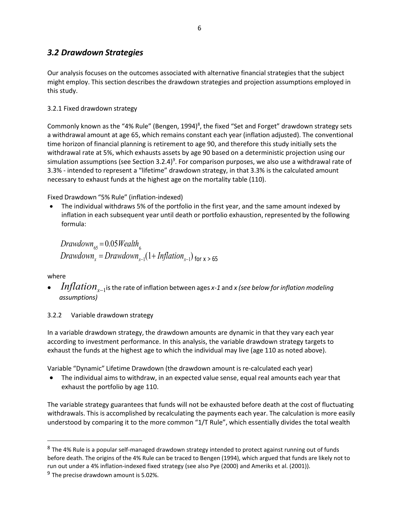## *3.2 Drawdown Strategies*

Our analysis focuses on the outcomes associated with alternative financial strategies that the subject might employ. This section describes the drawdown strategies and projection assumptions employed in this study.

#### 3.2.1 Fixed drawdown strategy

Commonly known as the "4% Rule" (Bengen, 1994)<sup>8</sup>, the fixed "Set and Forget" drawdown strategy sets a withdrawal amount at age 65, which remains constant each year (inflation adjusted). The conventional time horizon of financial planning is retirement to age 90, and therefore this study initially sets the withdrawal rate at 5%, which exhausts assets by age 90 based on a deterministic projection using our simulation assumptions (see Section 3.2.4)<sup>9</sup>. For comparison purposes, we also use a withdrawal rate of 3.3% - intended to represent a "lifetime" drawdown strategy, in that 3.3% is the calculated amount necessary to exhaust funds at the highest age on the mortality table (110).

Fixed Drawdown "5% Rule" (inflation-indexed)

• The individual withdraws 5% of the portfolio in the first year, and the same amount indexed by inflation in each subsequent year until death or portfolio exhaustion, represented by the following formula:

6 *Drawdown*<sup>65</sup> = 0.05*Wealth*  $Drawdown_x = Drawdown_{x-1}(1+ Inflation_{x-1})$  for x > 65

where

- *<sup>x</sup>*−1isthe rate of inflation between ages *x-1* and *x (see below for inflation modeling Inflationassumptions)*
- 3.2.2 Variable drawdown strategy

In a variable drawdown strategy, the drawdown amounts are dynamic in that they vary each year according to investment performance. In this analysis, the variable drawdown strategy targets to exhaust the funds at the highest age to which the individual may live (age 110 as noted above).

Variable "Dynamic" Lifetime Drawdown (the drawdown amount is re-calculated each year)

• The individual aims to withdraw, in an expected value sense, equal real amounts each year that exhaust the portfolio by age 110.

The variable strategy guarantees that funds will not be exhausted before death at the cost of fluctuating withdrawals. This is accomplished by recalculating the payments each year. The calculation is more easily understood by comparing it to the more common "1/T Rule", which essentially divides the total wealth

<sup>&</sup>lt;sup>8</sup> The 4% Rule is a popular self-managed drawdown strategy intended to protect against running out of funds before death. The origins of the 4% Rule can be traced to Bengen (1994), which argued that funds are likely not to run out under a 4% inflation-indexed fixed strategy (see also Pye (2000) and Ameriks et al. (2001)).

 $9$  The precise drawdown amount is 5.02%.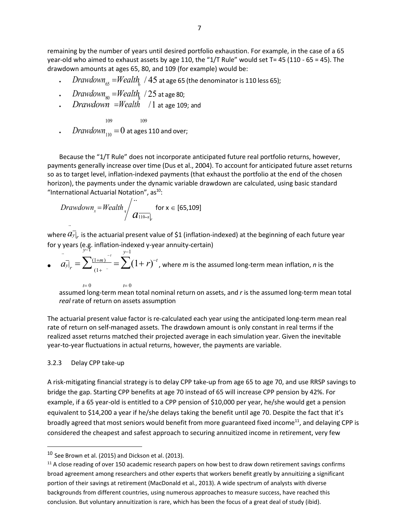remaining by the number of years until desired portfolio exhaustion. For example, in the case of a 65 year-old who aimed to exhaust assets by age 110, the "1/T Rule" would set T= 45 (110 - 65 = 45). The drawdown amounts at ages 65, 80, and 109 (for example) woul d be:

.  $Drawdown_{65}$   $=$   $Wealth_{\rm c}$  /  $45$  at age 65 (the denominator is 110 less 65);

. 
$$
Drawdown_{80} = Weaklt_{\frac{1}{6}}
$$
 / 25 at age 80;

*Drawdown* =*Wealth* / 1 at age 109; and

109 109  $\emph{Drawdown}_{_{110}} = 0$  at ages 110 and over;

Because the "1/T Rule" does not incorporate anticipated fut ure real portfolio ret urns, however, payments generally increase over time (Dus et al., 2004). To account for anticipated future asset returns so as to target level, inflation-indexed payments (that exhaust t he portfolio at the en d of the chosen horizon), the payments under the dynamic variable drawdown are calculated, using basic standard "International Actuarial Notation",  $as<sup>10</sup>$ :

$$
Drawdown_x = Weakth_x / \frac{m}{d} \text{ for } x \in [65, 109]
$$

where  $\widehat{a_{y}}_{r}$  is the actuarial present value of \$1 (inflation-indexed) at the beginning of each future year for y years (e.g. inflation-indexed y-year annuity-certain)

*y*−1 *y*−1 *y*−1 •  $a_{y} = \sum_{r=0}^{n} a_{r}^{(1+m)}$  $\frac{1+m}{1+m}$  =  $\sum (1+r)^{-t}$ , where *m* is the assumed long-term mean inflation, *n* is the

*t*= 0 *t*= 0 assumed long-term mean total nominal return on assets, an d *r* is the assumed long-term mean total *real* rate of return on assets assumption

The actuarial present value factor is re-calculated each year usin g the anticipated long-term mean real rate of return on self-managed assets. The drawdown amount i s only constant in real terms if the realized asset returns matched their projected average in each s imulation year. Given the inevitable year-to-year fluctuations in actual returns, however, the payme nts are variable.

#### 3.2.3 Delay CPP take-up

A risk-mitigating financial strategy is to delay CPP take-up from age 65 to age 70, and use RRSP savings to bridge the gap. Starting CPP benefits at age 70 instead of 65 will increase CPP pension by 42%. For example, if a 65 year-old is entitled to a CPP pension of \$10,000 per year, he/she would get a pension equivalent to \$14,200 a year if he/she delays taking the benefit until age 70. Despite the fact that it's broadly agreed that most seniors would benefit from more guaranteed fixed income<sup>11</sup>, and delaying CPP is considered the cheapest and safest approach to securing annuit ized income in retirement, very few

<sup>10</sup> See Brown et al. (2015) and Dickson et al. (2013).

 $11$  A close reading of over 150 academic research papers on how best to draw down retirement savings confirms broad agreement among researchers and other experts that workers bene fit greatly by annuitizing a significant portion of their savings at retirement (MacDonald et al., 2013). A wide spe ctrum of analysts with diverse backgrounds from different countries, using numerous approaches to measure success, have reached this conclusion. But voluntary annuitization is rare, which has been the focus of a great deal of study (ibid).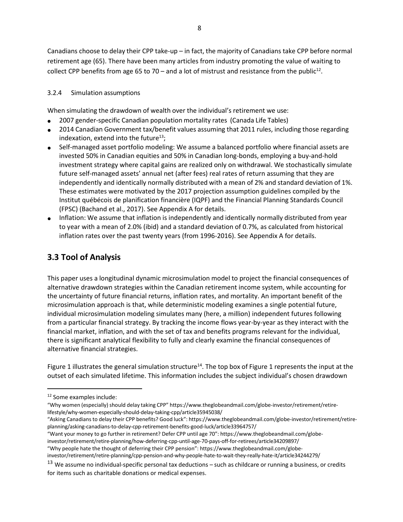Canadians choose to delay their CPP take-up – in fact, the majority of Canadians take CPP before normal retirement age (65). There have been many articles from industry promoting the value of waiting to collect CPP benefits from age 65 to 70 – and a lot of mistrust and resistance from the public<sup>12</sup>.

#### 3.2.4 Simulation assumptions

When simulating the drawdown of wealth over the individual's retirement we use:

- 2007 gender-specific Canadian population mortality rates (Canada Life Tables)
- 2014 Canadian Government tax/benefit values assuming that 2011 rules, including those regarding indexation, extend into the future<sup>13</sup>;
- Self-managed asset portfolio modeling: We assume a balanced portfolio where financial assets are invested 50% in Canadian equities and 50% in Canadian long-bonds, employing a buy-and-hold investment strategy where capital gains are realized only on withdrawal. We stochastically simulate future self-managed assets' annual net (after fees) real rates of return assuming that they are independently and identically normally distributed with a mean of 2% and standard deviation of 1%. These estimates were motivated by the 2017 projection assumption guidelines compiled by the Institut québécois de planification financière (IQPF) and the Financial Planning Standards Council (FPSC) (Bachand et al., 2017). See Appendix A for details.
- Inflation: We assume that inflation is independently and identically normally distributed from year to year with a mean of 2.0% (ibid) and a standard deviation of 0.7%, as calculated from historical inflation rates over the past twenty years (from 1996-2016). See Appendix A for details.

# **3.3 Tool of Analysis**

This paper uses a longitudinal dynamic microsimulation model to project the financial consequences of alternative drawdown strategies within the Canadian retirement income system, while accounting for the uncertainty of future financial returns, inflation rates, and mortality. An important benefit of the microsimulation approach is that, while deterministic modeling examines a single potential future, individual microsimulation modeling simulates many (here, a million) independent futures following from a particular financial strategy. By tracking the income flows year-by-year as they interact with the financial market, inflation, and with the set of tax and benefits programs relevant for the individual, there is significant analytical flexibility to fully and clearly examine the financial consequences of alternative financial strategies.

Figure 1 illustrates the general simulation structure<sup>14</sup>. The top box of Figure 1 represents the input at the outset of each simulated lifetime. This information includes the subject individual's chosen drawdown

<sup>12</sup> Some examples include:

<sup>&</sup>quot;Why women (especially) should delay taking CPP" http[s://www.theglobeandmail.com/globe-investor/retirement/retire](http://www.theglobeandmail.com/globe-investor/retirement/retire-)lifestyle/why-women-especially-should-delay-taking-cpp/article35945038/

<sup>&</sup>quot;Asking Canadiansto delay their CPP benefits? Good luck": https:[//www.theglobeandmail.com/globe-investor/retirement/retire](http://www.theglobeandmail.com/globe-investor/retirement/retire-)planning/asking-canadians-to-delay-cpp-retirement-benefits-good-luck/article33964757/

<sup>&</sup>quot;Want your money to go further in retirement? Defer CPP until age 70": http[s://www.theglobeandmail.com/globe](http://www.theglobeandmail.com/globe-)investor/retirement/retire-planning/how-deferring-cpp-until-age-70-pays-off-for-retirees/article34209897/

<sup>&</sup>quot;Why people hate the thought of deferring their CPP pension": http[s://www.theglobeandmail.com/globe-](http://www.theglobeandmail.com/globe-)

investor/retirement/retire-planning/cpp-pension-and-why-people-hate-to-wait-they-really-hate-it/article34244279/

 $13$  We assume no individual-specific personal tax deductions – such as childcare or running a business, or credits for items such as charitable donations or medical expenses.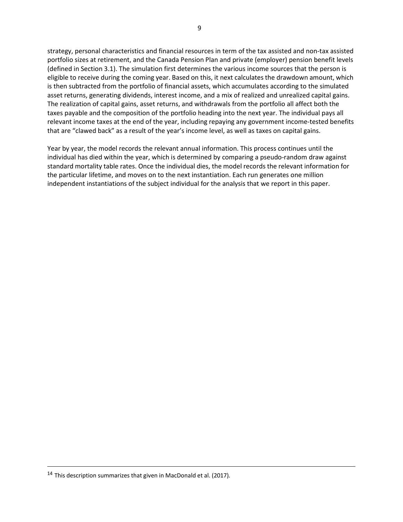strategy, personal characteristics and financial resources in term of the tax assisted and non-tax assisted portfolio sizes at retirement, and the Canada Pension Plan and private (employer) pension benefit levels (defined in Section 3.1). The simulation first determines the various income sources that the person is eligible to receive during the coming year. Based on this, it next calculates the drawdown amount, which is then subtracted from the portfolio of financial assets, which accumulates according to the simulated asset returns, generating dividends, interest income, and a mix of realized and unrealized capital gains. The realization of capital gains, asset returns, and withdrawals from the portfolio all affect both the taxes payable and the composition of the portfolio heading into the next year. The individual pays all relevant income taxes at the end of the year, including repaying any government income-tested benefits that are "clawed back" as a result of the year's income level, as well as taxes on capital gains.

Year by year, the model records the relevant annual information. This process continues until the individual has died within the year, which is determined by comparing a pseudo-random draw against standard mortality table rates. Once the individual dies, the model records the relevant information for the particular lifetime, and moves on to the next instantiation. Each run generates one million independent instantiations of the subject individual for the analysis that we report in this paper.

<sup>&</sup>lt;sup>14</sup> This description summarizes that given in MacDonald et al. (2017).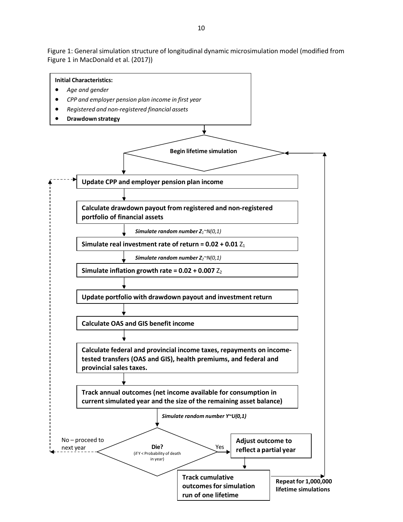Figure 1: General simulation structure of longitudinal dynamic microsimulation model (modified from Figure 1 in MacDonald et al. (2017))

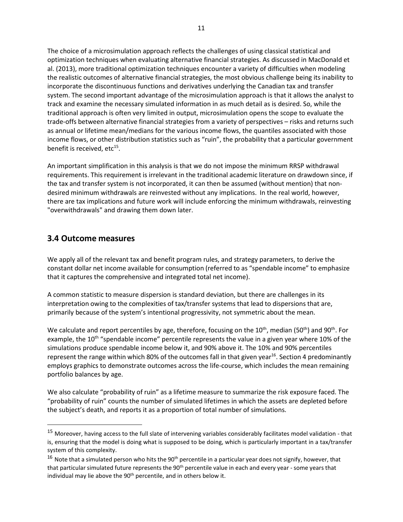The choice of a microsimulation approach reflects the challenges of using classical statistical and optimization techniques when evaluating alternative financial strategies. As discussed in MacDonald et al. (2013), more traditional optimization techniques encounter a variety of difficulties when modeling the realistic outcomes of alternative financial strategies, the most obvious challenge being its inability to incorporate the discontinuous functions and derivatives underlying the Canadian tax and transfer system. The second important advantage of the microsimulation approach is that it allows the analyst to track and examine the necessary simulated information in as much detail as is desired. So, while the traditional approach is often very limited in output, microsimulation opens the scope to evaluate the trade-offs between alternative financial strategies from a variety of perspectives – risks and returns such as annual or lifetime mean/medians for the various income flows, the quantiles associated with those income flows, or other distribution statistics such as "ruin", the probability that a particular government benefit is received, etc<sup>15</sup>.

An important simplification in this analysis is that we do not impose the minimum RRSP withdrawal requirements. This requirement is irrelevant in the traditional academic literature on drawdown since, if the tax and transfer system is not incorporated, it can then be assumed (without mention) that nondesired minimum withdrawals are reinvested without any implications. In the real world, however, there are tax implications and future work will include enforcing the minimum withdrawals, reinvesting "overwithdrawals" and drawing them down later.

### **3.4 Outcome measures**

We apply all of the relevant tax and benefit program rules, and strategy parameters, to derive the constant dollar net income available for consumption (referred to as "spendable income" to emphasize that it captures the comprehensive and integrated total net income).

A common statistic to measure dispersion is standard deviation, but there are challenges in its interpretation owing to the complexities of tax/transfer systems that lead to dispersions that are, primarily because of the system's intentional progressivity, not symmetric about the mean.

We calculate and report percentiles by age, therefore, focusing on the 10<sup>th</sup>, median (50<sup>th</sup>) and 90<sup>th</sup>. For example, the 10<sup>th</sup> "spendable income" percentile represents the value in a given year where 10% of the simulations produce spendable income below it, and 90% above it. The 10% and 90% percentiles represent the range within which 80% of the outcomes fall in that given year<sup>16</sup>. Section 4 predominantly employs graphics to demonstrate outcomes across the life-course, which includes the mean remaining portfolio balances by age.

We also calculate "probability of ruin" as a lifetime measure to summarize the risk exposure faced. The "probability of ruin" counts the number of simulated lifetimes in which the assets are depleted before the subject's death, and reports it as a proportion of total number of simulations.

<sup>&</sup>lt;sup>15</sup> Moreover, having access to the full slate of intervening variables considerably facilitates model validation - that is, ensuring that the model is doing what is supposed to be doing, which is particularly important in a tax/transfer system of this complexity.

 $16$  Note that a simulated person who hits the 90<sup>th</sup> percentile in a particular year does not signify, however, that that particular simulated future represents the 90<sup>th</sup> percentile value in each and every year - some years that individual may lie above the 90<sup>th</sup> percentile, and in others below it.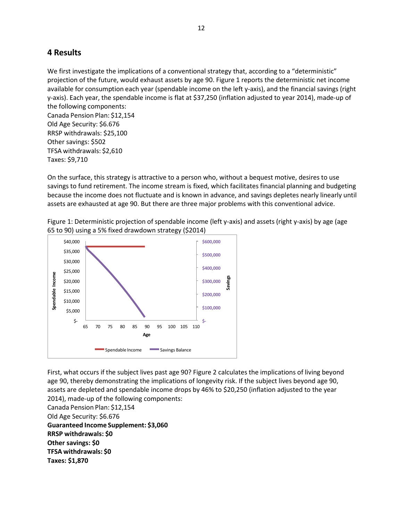## **4 Results**

We first investigate the implications of a conventional strategy that, according to a "deterministic" projection of the future, would exhaust assets by age 90. Figure 1 reports the deterministic net income available for consumption each year (spendable income on the left y-axis), and the financial savings (right y-axis). Each year, the spendable income is flat at \$37,250 (inflation adjusted to year 2014), made-up of the following components:

Canada Pension Plan: \$12,154 Old Age Security: \$6.676 RRSP withdrawals: \$25,100 Other savings: \$502 TFSA withdrawals: \$2,610 Taxes: \$9,710

On the surface, this strategy is attractive to a person who, without a bequest motive, desires to use savings to fund retirement. The income stream is fixed, which facilitates financial planning and budgeting because the income does not fluctuate and is known in advance, and savings depletes nearly linearly until assets are exhausted at age 90. But there are three major problems with this conventional advice.

Figure 1: Deterministic projection of spendable income (left y-axis) and assets (right y-axis) by age (age 65 to 90) using a 5% fixed drawdown strategy (\$2014)



First, what occurs if the subject lives past age 90? Figure 2 calculates the implications of living beyond age 90, thereby demonstrating the implications of longevity risk. If the subject lives beyond age 90, assets are depleted and spendable income drops by 46% to \$20,250 (inflation adjusted to the year 2014), made-up of the following components:

Canada Pension Plan: \$12,154

Old Age Security: \$6.676

**Guaranteed Income Supplement: \$3,060 RRSP withdrawals: \$0 Other savings: \$0 TFSA withdrawals: \$0 Taxes: \$1,870**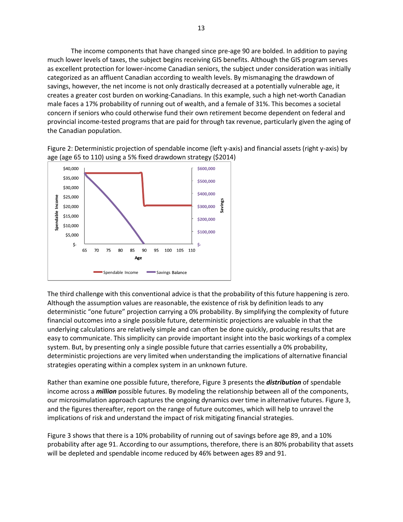The income components that have changed since pre-age 90 are bolded. In addition to paying much lower levels of taxes, the subject begins receiving GIS benefits. Although the GIS program serves as excellent protection for lower-income Canadian seniors, the subject under consideration was initially categorized as an affluent Canadian according to wealth levels. By mismanaging the drawdown of savings, however, the net income is not only drastically decreased at a potentially vulnerable age, it creates a greater cost burden on working-Canadians. In this example, such a high net-worth Canadian male faces a 17% probability of running out of wealth, and a female of 31%. This becomes a societal concern if seniors who could otherwise fund their own retirement become dependent on federal and provincial income-tested programs that are paid for through tax revenue, particularly given the aging of the Canadian population.





The third challenge with this conventional advice is that the probability of this future happening is zero. Although the assumption values are reasonable, the existence of risk by definition leads to any deterministic "one future" projection carrying a 0% probability. By simplifying the complexity of future financial outcomes into a single possible future, deterministic projections are valuable in that the underlying calculations are relatively simple and can often be done quickly, producing results that are easy to communicate. This simplicity can provide important insight into the basic workings of a complex system. But, by presenting only a single possible future that carries essentially a 0% probability, deterministic projections are very limited when understanding the implications of alternative financial strategies operating within a complex system in an unknown future.

Rather than examine one possible future, therefore, Figure 3 presents the *distribution* of spendable income across a *million* possible futures. By modeling the relationship between all of the components, our microsimulation approach captures the ongoing dynamics over time in alternative futures. Figure 3, and the figures thereafter, report on the range of future outcomes, which will help to unravel the implications of risk and understand the impact of risk mitigating financial strategies.

Figure 3 shows that there is a 10% probability of running out of savings before age 89, and a 10% probability after age 91. According to our assumptions, therefore, there is an 80% probability that assets will be depleted and spendable income reduced by 46% between ages 89 and 91.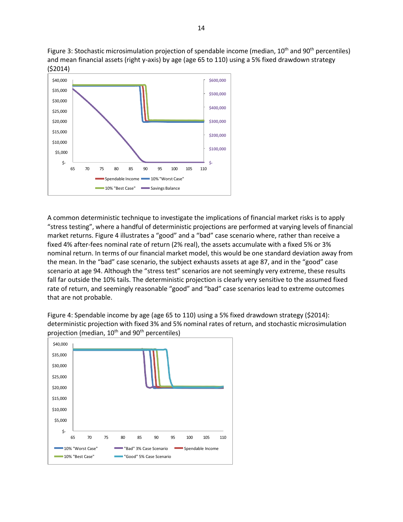Figure 3: Stochastic microsimulation projection of spendable income (median, 10<sup>th</sup> and 90<sup>th</sup> percentiles) and mean financial assets (right y-axis) by age (age 65 to 110) using a 5% fixed drawdown strategy (\$2014)



A common deterministic technique to investigate the implications of financial market risks is to apply "stress testing", where a handful of deterministic projections are performed at varying levels of financial market returns. Figure 4 illustrates a "good" and a "bad" case scenario where, rather than receive a fixed 4% after-fees nominal rate of return (2% real), the assets accumulate with a fixed 5% or 3% nominal return. In terms of our financial market model, this would be one standard deviation away from the mean. In the "bad" case scenario, the subject exhausts assets at age 87, and in the "good" case scenario at age 94. Although the "stress test" scenarios are not seemingly very extreme, these results fall far outside the 10% tails. The deterministic projection is clearly very sensitive to the assumed fixed rate of return, and seemingly reasonable "good" and "bad" case scenarios lead to extreme outcomes that are not probable.

Figure 4: Spendable income by age (age 65 to 110) using a 5% fixed drawdown strategy (\$2014): deterministic projection with fixed 3% and 5% nominal rates of return, and stochastic microsimulation projection (median,  $10^{th}$  and  $90^{th}$  percentiles)

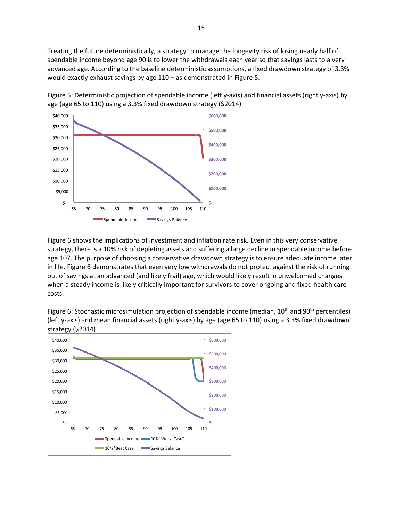Treating the future deterministically, a strategy to manage the longevity risk of losing nearly half of spendable income beyond age 90 is to lower the withdrawals each year so that savings lasts to a very advanced age. According to the baseline deterministic assumptions, a fixed drawdown strategy of 3.3% would exactly exhaust savings by age 110 – as demonstrated in Figure 5.





Figure 6 shows the implications of investment and inflation rate risk. Even in this very conservative strategy, there is a 10% risk of depleting assets and suffering a large decline in spendable income before age 107. The purpose of choosing a conservative drawdown strategy is to ensure adequate income later in life. Figure 6 demonstrates that even very low withdrawals do not protect against the risk of running out of savings at an advanced (and likely frail) age, which would likely result in unwelcomed changes when a steady income is likely critically important for survivors to cover ongoing and fixed health care costs.

Figure 6: Stochastic microsimulation projection of spendable income (median, 10<sup>th</sup> and 90<sup>th</sup> percentiles) (left y-axis) and mean financial assets (right y-axis) by age (age 65 to 110) using a 3.3% fixed drawdown strategy (\$2014)

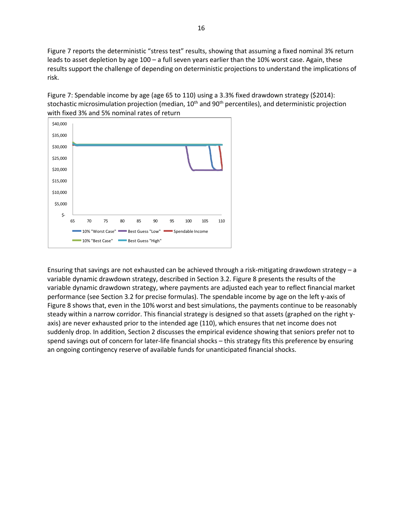Figure 7 reports the deterministic "stress test" results, showing that assuming a fixed nominal 3% return leads to asset depletion by age 100 – a full seven years earlier than the 10% worst case. Again, these results support the challenge of depending on deterministic projections to understand the implications of risk.

Figure 7: Spendable income by age (age 65 to 110) using a 3.3% fixed drawdown strategy (\$2014): stochastic microsimulation projection (median, 10<sup>th</sup> and 90<sup>th</sup> percentiles), and deterministic projection with fixed 3% and 5% nominal rates of return



Ensuring that savings are not exhausted can be achieved through a risk-mitigating drawdown strategy – a variable dynamic drawdown strategy, described in Section 3.2. Figure 8 presents the results of the variable dynamic drawdown strategy, where payments are adjusted each year to reflect financial market performance (see Section 3.2 for precise formulas). The spendable income by age on the left y-axis of Figure 8 shows that, even in the 10% worst and best simulations, the payments continue to be reasonably steady within a narrow corridor. This financial strategy is designed so that assets (graphed on the right yaxis) are never exhausted prior to the intended age (110), which ensures that net income does not suddenly drop. In addition, Section 2 discusses the empirical evidence showing that seniors prefer not to spend savings out of concern for later-life financial shocks – this strategy fits this preference by ensuring an ongoing contingency reserve of available funds for unanticipated financial shocks.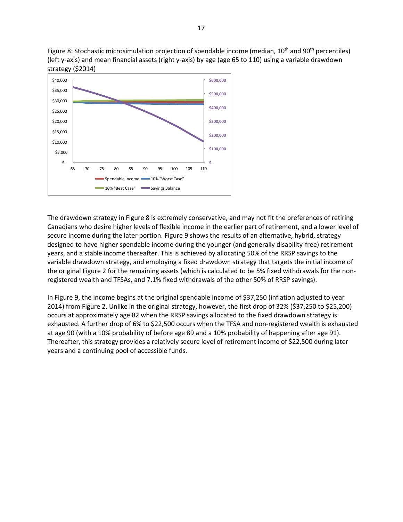Figure 8: Stochastic microsimulation projection of spendable income (median, 10<sup>th</sup> and 90<sup>th</sup> percentiles) (left y-axis) and mean financial assets (right y-axis) by age (age 65 to 110) using a variable drawdown strategy (\$2014)



The drawdown strategy in Figure 8 is extremely conservative, and may not fit the preferences of retiring Canadians who desire higher levels of flexible income in the earlier part of retirement, and a lower level of secure income during the later portion. Figure 9 shows the results of an alternative, hybrid, strategy designed to have higher spendable income during the younger (and generally disability-free) retirement years, and a stable income thereafter. This is achieved by allocating 50% of the RRSP savings to the variable drawdown strategy, and employing a fixed drawdown strategy that targets the initial income of the original Figure 2 for the remaining assets (which is calculated to be 5% fixed withdrawals for the nonregistered wealth and TFSAs, and 7.1% fixed withdrawals of the other 50% of RRSP savings).

In Figure 9, the income begins at the original spendable income of \$37,250 (inflation adjusted to year 2014) from Figure 2. Unlike in the original strategy, however, the first drop of 32% (\$37,250 to \$25,200) occurs at approximately age 82 when the RRSP savings allocated to the fixed drawdown strategy is exhausted. A further drop of 6% to \$22,500 occurs when the TFSA and non-registered wealth is exhausted at age 90 (with a 10% probability of before age 89 and a 10% probability of happening after age 91). Thereafter, this strategy provides a relatively secure level of retirement income of \$22,500 during later years and a continuing pool of accessible funds.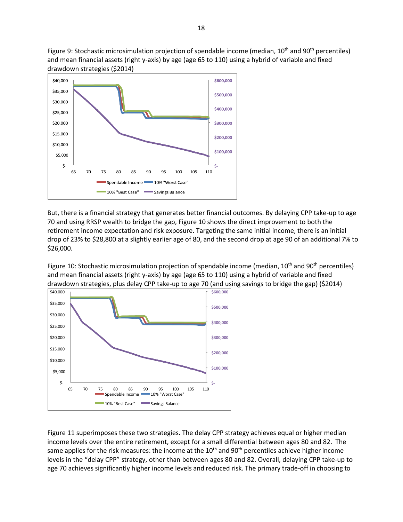Figure 9: Stochastic microsimulation projection of spendable income (median, 10<sup>th</sup> and 90<sup>th</sup> percentiles) and mean financial assets (right y-axis) by age (age 65 to 110) using a hybrid of variable and fixed drawdown strategies (\$2014)



But, there is a financial strategy that generates better financial outcomes. By delaying CPP take-up to age 70 and using RRSP wealth to bridge the gap, Figure 10 shows the direct improvement to both the retirement income expectation and risk exposure. Targeting the same initial income, there is an initial drop of 23% to \$28,800 at a slightly earlier age of 80, and the second drop at age 90 of an additional 7% to \$26,000.

Figure 10: Stochastic microsimulation projection of spendable income (median, 10<sup>th</sup> and 90<sup>th</sup> percentiles) and mean financial assets (right y-axis) by age (age 65 to 110) using a hybrid of variable and fixed drawdown strategies, plus delay CPP take-up to age 70 (and using savings to bridge the gap) (\$2014)



Figure 11 superimposes these two strategies. The delay CPP strategy achieves equal or higher median income levels over the entire retirement, except for a small differential between ages 80 and 82. The same applies for the risk measures: the income at the 10<sup>th</sup> and 90<sup>th</sup> percentiles achieve higher income levels in the "delay CPP" strategy, other than between ages 80 and 82. Overall, delaying CPP take-up to age 70 achieves significantly higher income levels and reduced risk. The primary trade-off in choosing to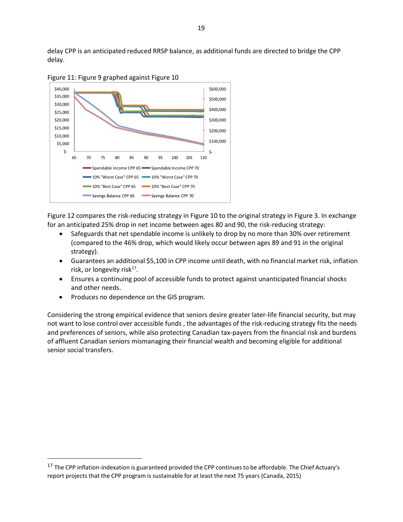delay CPP is an anticipated reduced RRSP balance, as additional funds are directed to bridge the CPP delay.



Figure 11: Figure 9 graphed against Figure 10

Figure 12 compares the risk-reducing strategy in Figure 10 to the original strategy in Figure 3. In exchange for an anticipated 25% drop in net income between ages 80 and 90, the risk-reducing strategy:

- Safeguards that net spendable income is unlikely to drop by no more than 30% over retirement (compared to the 46% drop, which would likely occur between ages 89 and 91 in the original strategy).
- Guarantees an additional \$5,100 in CPP income until death, with no financial market risk, inflation risk, or longevity risk $17$ .
- Ensures a continuing pool of accessible funds to protect against unanticipated financial shocks and other needs.
- Produces no dependence on the GIS program.

Considering the strong empirical evidence that seniors desire greater later-life financial security, but may not want to lose control over accessible funds , the advantages of the risk-reducing strategy fits the needs and preferences of seniors, while also protecting Canadian tax-payers from the financial risk and burdens of affluent Canadian seniors mismanaging their financial wealth and becoming eligible for additional senior social transfers.

<sup>&</sup>lt;sup>17</sup> The CPP inflation-indexation is guaranteed provided the CPP continues to be affordable. The Chief Actuary's report projects that the CPP program is sustainable for at least the next 75 years (Canada, 2015)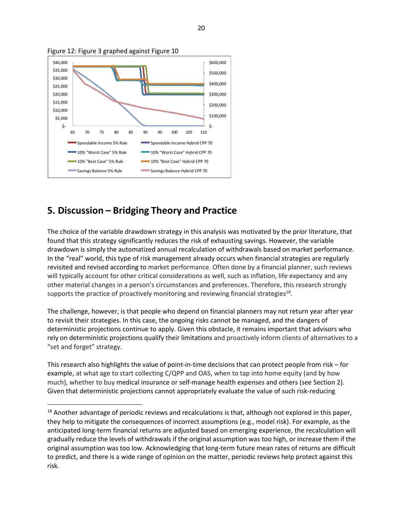

Figure 12: Figure 3 graphed against Figure 10

# **5. Discussion – Bridging Theory and Practice**

The choice of the variable drawdown strategy in this analysis was motivated by the prior literature, that found that this strategy significantly reduces the risk of exhausting savings. However, the variable drawdown is simply the automatized annual recalculation of withdrawals based on market performance. In the "real" world, this type of risk management already occurs when financial strategies are regularly revisited and revised according to market performance. Often done by a financial planner, such reviews will typically account for other critical considerations as well, such as inflation, life expectancy and any other material changes in a person's circumstances and preferences. Therefore, this research strongly supports the practice of proactively monitoring and reviewing financial strategies $^{18}$ .

The challenge, however, is that people who depend on financial planners may not return year after year to revisit their strategies. In this case, the ongoing risks cannot be managed, and the dangers of deterministic projections continue to apply. Given this obstacle, it remains important that advisors who rely on deterministic projections qualify their limitations and proactively inform clients of alternatives to a "set and forget" strategy.

This research also highlights the value of point-in-time decisions that can protect people from risk – for example, at what age to start collecting C/QPP and OAS, when to tap into home equity (and by how much), whether to buy medical insurance or self-manage health expenses and others (see Section 2). Given that deterministic projections cannot appropriately evaluate the value of such risk-reducing

<sup>&</sup>lt;sup>18</sup> Another advantage of periodic reviews and recalculations is that, although not explored in this paper, they help to mitigate the consequences of incorrect assumptions (e.g., model risk). For example, as the anticipated long-term financial returns are adjusted based on emerging experience, the recalculation will gradually reduce the levels of withdrawals if the original assumption was too high, or increase them if the original assumption was too low. Acknowledging that long-term future mean rates of returns are difficult to predict, and there is a wide range of opinion on the matter, periodic reviews help protect against this risk.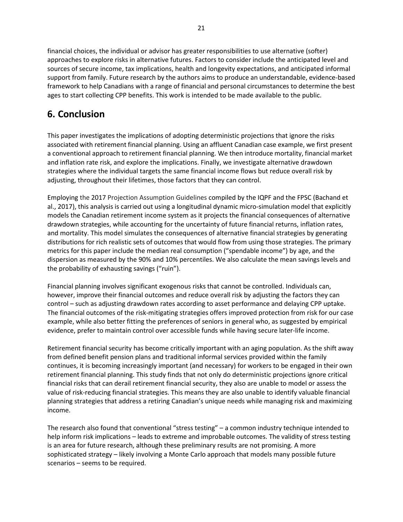financial choices, the individual or advisor has greater responsibilities to use alternative (softer) approaches to explore risks in alternative futures. Factors to consider include the anticipated level and sources of secure income, tax implications, health and longevity expectations, and anticipated informal support from family. Future research by the authors aims to produce an understandable, evidence-based framework to help Canadians with a range of financial and personal circumstances to determine the best ages to start collecting CPP benefits. This work is intended to be made available to the public.

# **6. Conclusion**

This paper investigates the implications of adopting deterministic projections that ignore the risks associated with retirement financial planning. Using an affluent Canadian case example, we first present a conventional approach to retirement financial planning. We then introduce mortality, financial market and inflation rate risk, and explore the implications. Finally, we investigate alternative drawdown strategies where the individual targets the same financial income flows but reduce overall risk by adjusting, throughout their lifetimes, those factors that they can control.

Employing the 2017 Projection Assumption Guidelines compiled by the IQPF and the FPSC (Bachand et al., 2017), this analysis is carried out using a longitudinal dynamic micro-simulation model that explicitly models the Canadian retirement income system as it projects the financial consequences of alternative drawdown strategies, while accounting for the uncertainty of future financial returns, inflation rates, and mortality. This model simulates the consequences of alternative financial strategies by generating distributions for rich realistic sets of outcomes that would flow from using those strategies. The primary metrics for this paper include the median real consumption ("spendable income") by age, and the dispersion as measured by the 90% and 10% percentiles. We also calculate the mean savings levels and the probability of exhausting savings ("ruin").

Financial planning involves significant exogenous risks that cannot be controlled. Individuals can, however, improve their financial outcomes and reduce overall risk by adjusting the factors they can control – such as adjusting drawdown rates according to asset performance and delaying CPP uptake. The financial outcomes of the risk-mitigating strategies offers improved protection from risk for our case example, while also better fitting the preferences of seniors in general who, as suggested by empirical evidence, prefer to maintain control over accessible funds while having secure later-life income.

Retirement financial security has become critically important with an aging population. As the shift away from defined benefit pension plans and traditional informal services provided within the family continues, it is becoming increasingly important (and necessary) for workers to be engaged in their own retirement financial planning. This study finds that not only do deterministic projections ignore critical financial risks that can derail retirement financial security, they also are unable to model or assess the value of risk-reducing financial strategies. This means they are also unable to identify valuable financial planning strategies that address a retiring Canadian's unique needs while managing risk and maximizing income.

The research also found that conventional "stress testing" – a common industry technique intended to help inform risk implications – leads to extreme and improbable outcomes. The validity of stress testing is an area for future research, although these preliminary results are not promising. A more sophisticated strategy – likely involving a Monte Carlo approach that models many possible future scenarios – seems to be required.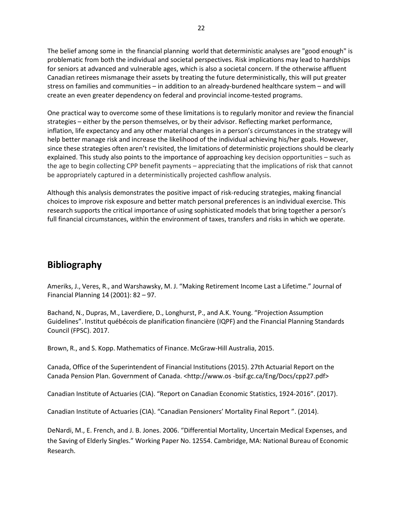The belief among some in the financial planning world that deterministic analyses are "good enough" is problematic from both the individual and societal perspectives. Risk implications may lead to hardships for seniors at advanced and vulnerable ages, which is also a societal concern. If the otherwise affluent Canadian retirees mismanage their assets by treating the future deterministically, this will put greater stress on families and communities – in addition to an already-burdened healthcare system – and will create an even greater dependency on federal and provincial income-tested programs.

One practical way to overcome some of these limitations is to regularly monitor and review the financial strategies – either by the person themselves, or by their advisor. Reflecting market performance, inflation, life expectancy and any other material changes in a person's circumstances in the strategy will help better manage risk and increase the likelihood of the individual achieving his/her goals. However, since these strategies often aren't revisited, the limitations of deterministic projections should be clearly explained. This study also points to the importance of approaching key decision opportunities – such as the age to begin collecting CPP benefit payments – appreciating that the implications of risk that cannot be appropriately captured in a deterministically projected cashflow analysis.

Although this analysis demonstrates the positive impact of risk-reducing strategies, making financial choices to improve risk exposure and better match personal preferences is an individual exercise. This research supports the critical importance of using sophisticated models that bring together a person's full financial circumstances, within the environment of taxes, transfers and risks in which we operate.

# **Bibliography**

Ameriks, J., Veres, R., and Warshawsky, M. J. "Making Retirement Income Last a Lifetime." Journal of Financial Planning 14 (2001): 82 – 97.

Bachand, N., Dupras, M., Laverdiere, D., Longhurst, P., and A.K. Young. "Projection Assumption Guidelines". Institut québécois de planification financière (IQPF) and the Financial Planning Standards Council (FPSC). 2017.

Brown, R., and S. Kopp. Mathematics of Finance. McGraw-Hill Australia, 2015.

Canada, Office of the Superintendent of Financial Institutions (2015). 27th Actuarial Report on the Canada Pension Plan. Government of Canada. <http://www.os -bsif.gc.ca/Eng/Docs/cpp27.pdf>

Canadian Institute of Actuaries (CIA). "Report on Canadian Economic Statistics, 1924-2016". (2017).

Canadian Institute of Actuaries (CIA). "Canadian Pensioners' Mortality Final Report ". (2014).

DeNardi, M., E. French, and J. B. Jones. 2006. "Differential Mortality, Uncertain Medical Expenses, and the Saving of Elderly Singles." Working Paper No. 12554. Cambridge, MA: National Bureau of Economic Research.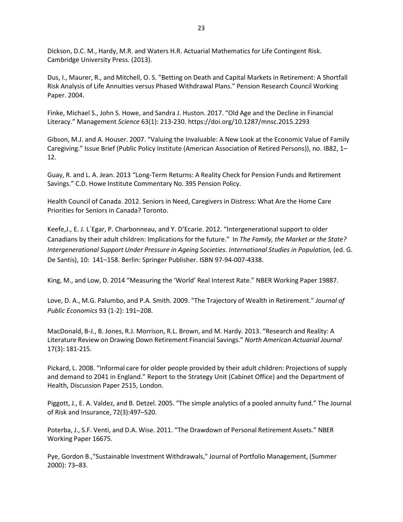Dickson, D.C. M., Hardy, M.R. and Waters H.R. Actuarial Mathematics for Life Contingent Risk. Cambridge University Press. (2013).

Dus, I., Maurer, R., and Mitchell, O. S. "Betting on Death and Capital Markets in Retirement: A Shortfall Risk Analysis of Life Annuities versus Phased Withdrawal Plans." Pension Research Council Working Paper. 2004.

Finke, Michael S., John S. Howe, and Sandra J. Huston. 2017. "Old Age and the Decline in Financial Literacy." Management *Science* 63(1): 213-230. https://doi.org/10.1287/mnsc.2015.2293

Gibson, M.J. and A. Houser. 2007. "Valuing the Invaluable: A New Look at the Economic Value of Family Caregiving." Issue Brief (Public Policy Institute (American Association of Retired Persons)), no. IB82, 1– 12.

Guay, R. and L. A. Jean. 2013 "Long-Term Returns: A Reality Check for Pension Funds and Retirement Savings." C.D. Howe Institute Commentary No. 395 Pension Policy.

Health Council of Canada. 2012. Seniors in Need, Caregivers in Distress: What Are the Home Care Priorities for Seniors in Canada? Toronto.

Keefe,J., E. J. L´Egar, P. Charbonneau, and Y. D'Ecarie. 2012. "Intergenerational support to older Canadians by their adult children: Implications for the future." In *The Family, the Market or the State? Intergenerational Support Under Pressure in Ageing Societies. International Studies in Population,* (ed. G. De Santis), 10: 141–158. Berlin: Springer Publisher. ISBN 97-94-007-4338.

King, M., and Low, D. 2014 "Measuring the 'World' Real Interest Rate." NBER Working Paper 19887.

Love, D. A., M.G. Palumbo, and P.A. Smith. 2009. "The Trajectory of Wealth in Retirement." *Journal of Public Economics* 93 (1-2): 191–208.

MacDonald, B-J., B. Jones, R.J. Morrison, R.L. Brown, and M. Hardy. 2013. "Research and Reality: A Literature Review on Drawing Down Retirement Financial Savings." *North American Actuarial Journal* 17(3): 181-215.

Pickard, L. 2008. "Informal care for older people provided by their adult children: Projections of supply and demand to 2041 in England." Report to the Strategy Unit (Cabinet Office) and the Department of Health, Discussion Paper 2515, London.

Piggott, J., E. A. Valdez, and B. Detzel. 2005. "The simple analytics of a pooled annuity fund." The Journal of Risk and Insurance, 72(3):497–520.

Poterba, J., S.F. Venti, and D.A. Wise. 2011. "The Drawdown of Personal Retirement Assets." NBER Working Paper 16675.

Pye, Gordon B.,"Sustainable Investment Withdrawals," Journal of Portfolio Management, (Summer 2000): 73–83.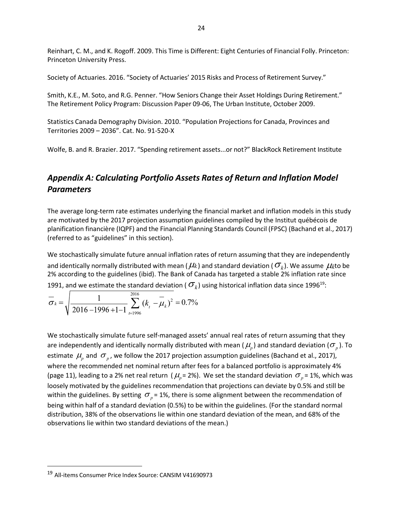Reinhart, C. M., and K. Rogoff. 2009. This Time is Different: Eight Centuries of Financial Folly. Princeton: Princeton University Press.

Society of Actuaries. 2016. "Society of Actuaries' 2015 Risks and Process of Retirement Survey."

Smith, K.E., M. Soto, and R.G. Penner. "How Seniors Change their Asset Holdings During Retirement." The Retirement Policy Program: Discussion Paper 09-06, The Urban Institute, October 2009.

Statistics Canada Demography Division. 2010. "Population Projections for Canada, Provinces and Territories 2009 – 2036". Cat. No. 91-520-X

Wolfe, B. and R. Brazier. 2017. "Spending retirement assets...or not?" BlackRock Retirement Institute

# *Appendix A: Calculating Portfolio Assets Rates of Return and Inflation Model Parameters*

The average long-term rate estimates underlying the financial market and inflation models in this study are motivated by the 2017 projection assumption guidelines compiled by the Institut québécois de planification financière (IQPF) and the Financial Planning Standards Council (FPSC) (Bachand et al., 2017) (referred to as "guidelines" in this section).

We stochastically simulate future annual inflation rates of return assuming that they are independently and identically normally distributed with mean ( $\mu$ *k*) and standard deviation ( $\sigma$ <sub>*k*</sub>). We assume  $\mu$ <sub>*k*</sub>to be 2% according to the guidelines (ibid). The Bank of Canada has targeted a stable 2% inflation rate since 1991, and we estimate the standard deviation ( $\sigma_k$ ) using historical inflation data since 1996<sup>19</sup>:

$$
\overline{\sigma}_k = \sqrt{\frac{1}{2016 - 1996 + 1 - 1} \sum_{t=1996}^{2016} (k_t - \mu_k)^2} = 0.7\%
$$

We stochastically simulate future self-managed assets' annual real rates of return assuming that they are independently and identically normally distributed with mean ( $\mu_{_p}$ ) and standard deviation ( $\sigma_{_p}$ ). To estimate  $\mu_{p}^{}$  and  $\sigma_{p}^{}$ , we follow the 2017 projection assumption guidelines (Bachand et al., 2017), where the recommended net nominal return after fees for a balanced portfolio is approximately 4% (page 11), leading to a 2% net real return ( $\mu_{_{p}}$ = 2%). We set the standard deviation  $\sigma_{_{p}}$ = 1%, which was loosely motivated by the guidelines recommendation that projections can deviate by 0.5% and still be within the guidelines. By setting  $\sigma_{_{p}}$ = 1%, there is some alignment between the recommendation of being within half of a standard deviation (0.5%) to be within the guidelines. (For the standard normal distribution, 38% of the observations lie within one standard deviation of the mean, and 68% of the observations lie within two standard deviations of the mean.)

<sup>19</sup> All-items Consumer Price Index Source: CANSIM V41690973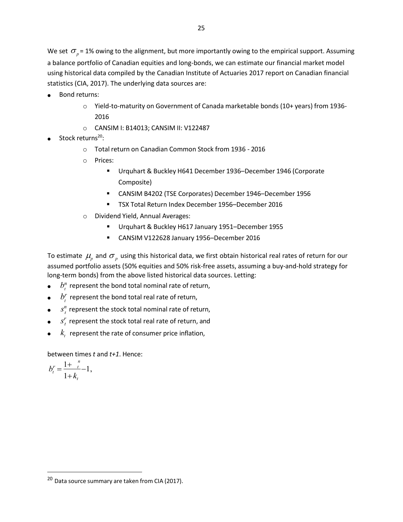We set  $\sigma_p$ = 1% owing to the alignment, but more importantly owing to the empirical support. Assuming a balance portfolio of Canadian equities and long-bonds, we can estimate our financial market model using historical data compiled by the Canadian Institute of Actuaries 2017 report on Canadian financial statistics (CIA, 2017). The underlying data sources are:

- Bond returns:
	- $\circ$  Yield-to-maturity on Government of Canada marketable bonds (10+ years) from 1936-2016
	- o CANSIM I: B14013; CANSIM II: V122487
- Stock returns<sup>20</sup>:
	- o Total return on Canadian Common Stock from 1936 2016
	- o Prices:
		- Urquhart & Buckley H641 December 1936–December 1946 (Corporate Composite)
		- CANSIM B4202 (TSE Corporates) December 1946–December 1956
		- TSX Total Return Index December 1956–December 2016
	- o Dividend Yield, Annual Averages:
		- Urquhart & Buckley H617 January 1951–December 1955
		- CANSIM V122628 January 1956–December 2016

To estimate  $\mu_{p}$  and  $\sigma_{p}$  using this historical data, we first obtain historical real rates of return for our assumed portfolio assets (50% equities and 50% risk-free assets, assuming a buy-and-hold strategy for long-term bonds) from the above listed historical data sources. Letting:

- $\bullet$   $b_t^n$  represent the bond total nominal rate of return,
- $\bullet$   $\quad b_r^r$  represent the bond total real rate of return,
- $\bullet$   $s^n_t$  represent the stock total nominal rate of return,
- $\bullet$  *s*<sup>*r*</sup></sup> represent the stock total real rate of return, and
- $\mathcal{R}_{t}$  represent the rate of consumer price inflation,

between times *t* and *t+1*. Hence:

$$
b_t^r = \frac{1 + \frac{n}{t}}{1 + k_t} - 1,
$$

 $20$  Data source summary are taken from CIA (2017).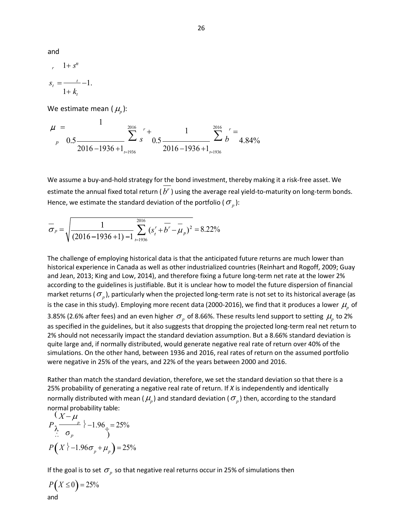and

$$
r \quad 1 + s^n
$$

$$
s_t = \frac{t}{1 + k_t} - 1.
$$

We estimate mean  $(\mu_p)$ :

$$
\mu = \frac{1}{p - 0.5 \frac{\sum_{p=100 \text{ s}}^{2016} r + \sum_{r=1936}^{r}}{2016 - 1936 + 1 \frac{\sum_{p=1936}^{2016} r}{2016 - 1936 + 1 \frac{\sum_{r=1936}^{2016} r}{r}}}} = 4.84\%
$$

We assume a buy-and-hold strategy for the bond investment, thereby making it a risk-free asset. We estimate the annual fixed total return  $(b<sup>r</sup>)$  using the average real yield-to-maturity on long-term bonds. Hence, we estimate the standard deviation of the portfolio ( $\sigma_{_p}$ ):

$$
\overline{\sigma}_p = \sqrt{\frac{1}{(2016 - 1936 + 1) - 1} \sum_{t=1936}^{2016} (s_t^r + \overline{b^r} - \overline{\mu}_p)^2} = 8.22\%
$$

The challenge of employing historical data is that the anticipated future returns are much lower than historical experience in Canada as well as other industrialized countries (Reinhart and Rogoff, 2009; Guay and Jean, 2013; King and Low, 2014), and therefore fixing a future long-term net rate at the lower 2% according to the guidelines is justifiable. But it is unclear how to model the future dispersion of financial market returns (  $\sigma_{_p}$  ), particularly when the projected long-term rate is not set to its historical average (as is the case in this study). Employing more recent data (2000-2016), we find that it produces a lower  $\mu_{p}$  of 3.85% (2.6% after fees) and an even higher  $\sigma_p^{}$  of 8.66%. These results lend support to setting  $\mu_p^{}$  to 2% as specified in the guidelines, but it also suggests that dropping the projected long-term real net return to 2% should not necessarily impact the standard deviation assumption. But a 8.66% standard deviation is quite large and, if normally distributed, would generate negative real rate of return over 40% of the simulations. On the other hand, between 1936 and 2016, real rates of return on the assumed portfolio were negative in 25% of the years, and 22% of the years between 2000 and 2016.

Rather than match the standard deviation, therefore, we set the standard deviation so that there is a 25% probability of generating a negative real rate of return. If *X* is independently and identically normally distributed with mean (  $\mu_{_p}$ ) and standard deviation (  $\sigma_{_p}$ ) then, according to the standard normal probability table:<br>  $(X - \mu)$ 

$$
P_{\lambda} \frac{(X-\mu)}{\sigma_p} \n\leftarrow 1.96. = 25\%
$$
  
\n
$$
P(X \n\leftarrow 1.96\sigma_p + \mu_p) = 25\%
$$

If the goal is to set  $\sigma_p$  so that negative real returns occur in 25% of simulations then

$$
P(X \le 0) = 25\%
$$
  
and